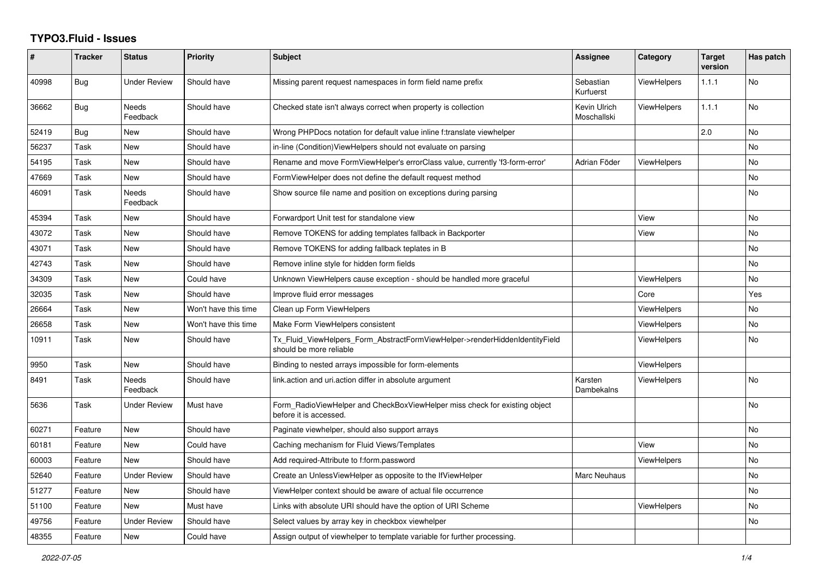## **TYPO3.Fluid - Issues**

| #     | <b>Tracker</b> | <b>Status</b>            | <b>Priority</b>      | <b>Subject</b>                                                                                         | Assignee                    | Category           | <b>Target</b><br>version | Has patch |
|-------|----------------|--------------------------|----------------------|--------------------------------------------------------------------------------------------------------|-----------------------------|--------------------|--------------------------|-----------|
| 40998 | Bug            | <b>Under Review</b>      | Should have          | Missing parent request namespaces in form field name prefix                                            | Sebastian<br>Kurfuerst      | <b>ViewHelpers</b> | 1.1.1                    | <b>No</b> |
| 36662 | <b>Bug</b>     | Needs<br>Feedback        | Should have          | Checked state isn't always correct when property is collection                                         | Kevin Ulrich<br>Moschallski | <b>ViewHelpers</b> | 1.1.1                    | No        |
| 52419 | <b>Bug</b>     | New                      | Should have          | Wrong PHPDocs notation for default value inline f:translate viewhelper                                 |                             |                    | 2.0                      | <b>No</b> |
| 56237 | Task           | New                      | Should have          | in-line (Condition) View Helpers should not evaluate on parsing                                        |                             |                    |                          | <b>No</b> |
| 54195 | Task           | New                      | Should have          | Rename and move FormViewHelper's errorClass value, currently 'f3-form-error'                           | Adrian Föder                | ViewHelpers        |                          | No        |
| 47669 | Task           | New                      | Should have          | FormViewHelper does not define the default request method                                              |                             |                    |                          | No        |
| 46091 | Task           | <b>Needs</b><br>Feedback | Should have          | Show source file name and position on exceptions during parsing                                        |                             |                    |                          | <b>No</b> |
| 45394 | Task           | New                      | Should have          | Forwardport Unit test for standalone view                                                              |                             | View               |                          | <b>No</b> |
| 43072 | Task           | New                      | Should have          | Remove TOKENS for adding templates fallback in Backporter                                              |                             | View               |                          | No        |
| 43071 | Task           | New                      | Should have          | Remove TOKENS for adding fallback teplates in B                                                        |                             |                    |                          | <b>No</b> |
| 42743 | Task           | <b>New</b>               | Should have          | Remove inline style for hidden form fields                                                             |                             |                    |                          | <b>No</b> |
| 34309 | Task           | New                      | Could have           | Unknown ViewHelpers cause exception - should be handled more graceful                                  |                             | <b>ViewHelpers</b> |                          | <b>No</b> |
| 32035 | Task           | New                      | Should have          | Improve fluid error messages                                                                           |                             | Core               |                          | Yes       |
| 26664 | Task           | New                      | Won't have this time | Clean up Form ViewHelpers                                                                              |                             | <b>ViewHelpers</b> |                          | No        |
| 26658 | Task           | <b>New</b>               | Won't have this time | Make Form ViewHelpers consistent                                                                       |                             | <b>ViewHelpers</b> |                          | <b>No</b> |
| 10911 | Task           | New                      | Should have          | Tx Fluid ViewHelpers Form AbstractFormViewHelper->renderHiddenIdentityField<br>should be more reliable |                             | ViewHelpers        |                          | <b>No</b> |
| 9950  | Task           | New                      | Should have          | Binding to nested arrays impossible for form-elements                                                  |                             | <b>ViewHelpers</b> |                          |           |
| 8491  | Task           | Needs<br>Feedback        | Should have          | link action and uri action differ in absolute argument                                                 | Karsten<br>Dambekalns       | <b>ViewHelpers</b> |                          | <b>No</b> |
| 5636  | Task           | <b>Under Review</b>      | Must have            | Form RadioViewHelper and CheckBoxViewHelper miss check for existing object<br>before it is accessed.   |                             |                    |                          | <b>No</b> |
| 60271 | Feature        | <b>New</b>               | Should have          | Paginate viewhelper, should also support arrays                                                        |                             |                    |                          | <b>No</b> |
| 60181 | Feature        | New                      | Could have           | Caching mechanism for Fluid Views/Templates                                                            |                             | View               |                          | <b>No</b> |
| 60003 | Feature        | New                      | Should have          | Add required-Attribute to f:form.password                                                              |                             | ViewHelpers        |                          | <b>No</b> |
| 52640 | Feature        | <b>Under Review</b>      | Should have          | Create an UnlessViewHelper as opposite to the IfViewHelper                                             | Marc Neuhaus                |                    |                          | <b>No</b> |
| 51277 | Feature        | <b>New</b>               | Should have          | ViewHelper context should be aware of actual file occurrence                                           |                             |                    |                          | <b>No</b> |
| 51100 | Feature        | New                      | Must have            | Links with absolute URI should have the option of URI Scheme                                           |                             | ViewHelpers        |                          | No.       |
| 49756 | Feature        | Under Review             | Should have          | Select values by array key in checkbox viewhelper                                                      |                             |                    |                          | <b>No</b> |
| 48355 | Feature        | <b>New</b>               | Could have           | Assign output of viewhelper to template variable for further processing.                               |                             |                    |                          |           |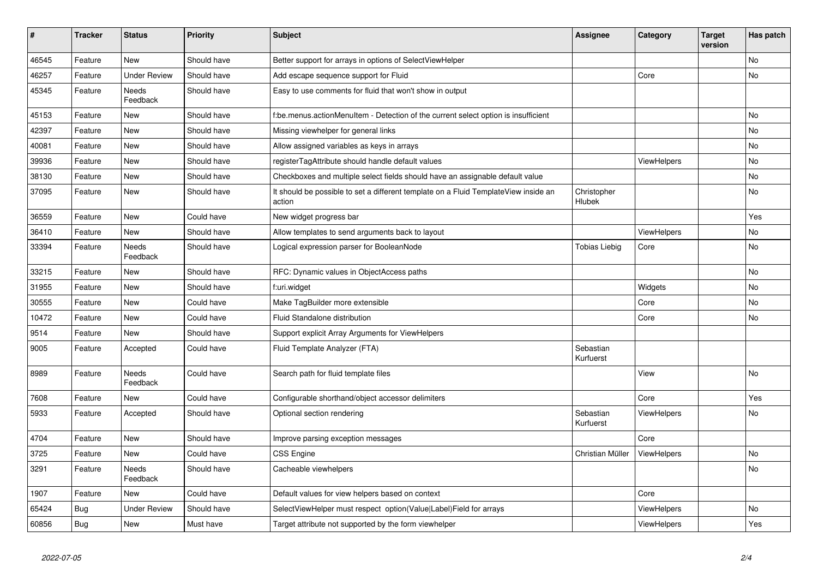| $\vert$ # | <b>Tracker</b> | <b>Status</b>            | <b>Priority</b> | <b>Subject</b>                                                                                | <b>Assignee</b>        | Category           | <b>Target</b><br>version | Has patch |
|-----------|----------------|--------------------------|-----------------|-----------------------------------------------------------------------------------------------|------------------------|--------------------|--------------------------|-----------|
| 46545     | Feature        | New                      | Should have     | Better support for arrays in options of SelectViewHelper                                      |                        |                    |                          | <b>No</b> |
| 46257     | Feature        | <b>Under Review</b>      | Should have     | Add escape sequence support for Fluid                                                         |                        | Core               |                          | <b>No</b> |
| 45345     | Feature        | Needs<br>Feedback        | Should have     | Easy to use comments for fluid that won't show in output                                      |                        |                    |                          |           |
| 45153     | Feature        | New                      | Should have     | f:be.menus.actionMenuItem - Detection of the current select option is insufficient            |                        |                    |                          | <b>No</b> |
| 42397     | Feature        | New                      | Should have     | Missing viewhelper for general links                                                          |                        |                    |                          | <b>No</b> |
| 40081     | Feature        | New                      | Should have     | Allow assigned variables as keys in arrays                                                    |                        |                    |                          | No        |
| 39936     | Feature        | New                      | Should have     | registerTagAttribute should handle default values                                             |                        | ViewHelpers        |                          | No        |
| 38130     | Feature        | New                      | Should have     | Checkboxes and multiple select fields should have an assignable default value                 |                        |                    |                          | No        |
| 37095     | Feature        | New                      | Should have     | It should be possible to set a different template on a Fluid TemplateView inside an<br>action | Christopher<br>Hlubek  |                    |                          | No        |
| 36559     | Feature        | New                      | Could have      | New widget progress bar                                                                       |                        |                    |                          | Yes       |
| 36410     | Feature        | New                      | Should have     | Allow templates to send arguments back to layout                                              |                        | <b>ViewHelpers</b> |                          | No        |
| 33394     | Feature        | Needs<br>Feedback        | Should have     | Logical expression parser for BooleanNode                                                     | <b>Tobias Liebig</b>   | Core               |                          | <b>No</b> |
| 33215     | Feature        | New                      | Should have     | RFC: Dynamic values in ObjectAccess paths                                                     |                        |                    |                          | No        |
| 31955     | Feature        | New                      | Should have     | f:uri.widget                                                                                  |                        | Widgets            |                          | <b>No</b> |
| 30555     | Feature        | New                      | Could have      | Make TagBuilder more extensible                                                               |                        | Core               |                          | No        |
| 10472     | Feature        | New                      | Could have      | Fluid Standalone distribution                                                                 |                        | Core               |                          | No        |
| 9514      | Feature        | <b>New</b>               | Should have     | Support explicit Array Arguments for ViewHelpers                                              |                        |                    |                          |           |
| 9005      | Feature        | Accepted                 | Could have      | Fluid Template Analyzer (FTA)                                                                 | Sebastian<br>Kurfuerst |                    |                          |           |
| 8989      | Feature        | Needs<br>Feedback        | Could have      | Search path for fluid template files                                                          |                        | View               |                          | <b>No</b> |
| 7608      | Feature        | New                      | Could have      | Configurable shorthand/object accessor delimiters                                             |                        | Core               |                          | Yes       |
| 5933      | Feature        | Accepted                 | Should have     | Optional section rendering                                                                    | Sebastian<br>Kurfuerst | ViewHelpers        |                          | No        |
| 4704      | Feature        | New                      | Should have     | Improve parsing exception messages                                                            |                        | Core               |                          |           |
| 3725      | Feature        | New                      | Could have      | <b>CSS Engine</b>                                                                             | Christian Müller       | ViewHelpers        |                          | No        |
| 3291      | Feature        | <b>Needs</b><br>Feedback | Should have     | Cacheable viewhelpers                                                                         |                        |                    |                          | <b>No</b> |
| 1907      | Feature        | New                      | Could have      | Default values for view helpers based on context                                              |                        | Core               |                          |           |
| 65424     | Bug            | <b>Under Review</b>      | Should have     | SelectViewHelper must respect option(Value Label)Field for arrays                             |                        | <b>ViewHelpers</b> |                          | No        |
| 60856     | <b>Bug</b>     | New                      | Must have       | Target attribute not supported by the form viewhelper                                         |                        | ViewHelpers        |                          | Yes       |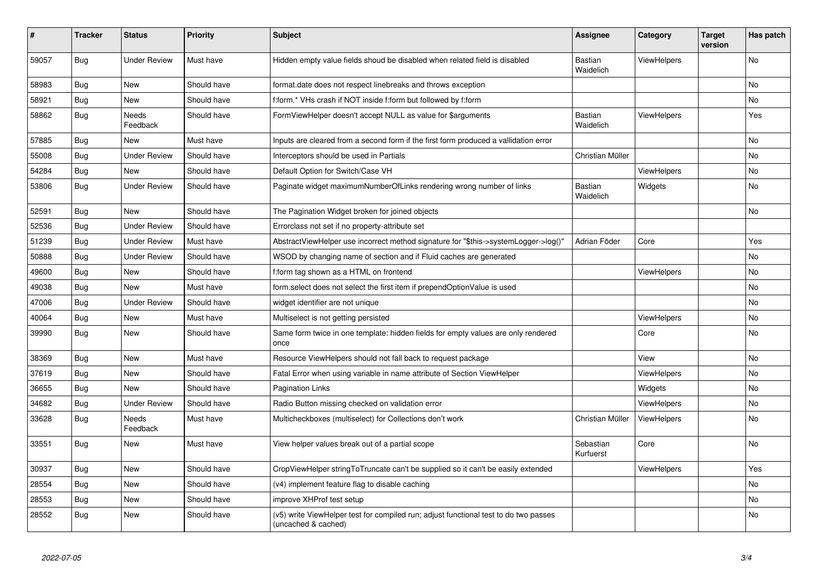| #     | <b>Tracker</b> | <b>Status</b>       | <b>Priority</b> | <b>Subject</b>                                                                                              | <b>Assignee</b>             | Category           | <b>Target</b><br>version | Has patch |
|-------|----------------|---------------------|-----------------|-------------------------------------------------------------------------------------------------------------|-----------------------------|--------------------|--------------------------|-----------|
| 59057 | Bug            | <b>Under Review</b> | Must have       | Hidden empty value fields shoud be disabled when related field is disabled                                  | <b>Bastian</b><br>Waidelich | <b>ViewHelpers</b> |                          | <b>No</b> |
| 58983 | Bug            | <b>New</b>          | Should have     | format.date does not respect linebreaks and throws exception                                                |                             |                    |                          | No        |
| 58921 | <b>Bug</b>     | <b>New</b>          | Should have     | f:form.* VHs crash if NOT inside f:form but followed by f:form                                              |                             |                    |                          | No        |
| 58862 | Bug            | Needs<br>Feedback   | Should have     | FormViewHelper doesn't accept NULL as value for \$arguments                                                 | <b>Bastian</b><br>Waidelich | ViewHelpers        |                          | Yes       |
| 57885 | Bug            | <b>New</b>          | Must have       | Inputs are cleared from a second form if the first form produced a vallidation error                        |                             |                    |                          | No        |
| 55008 | Bug            | <b>Under Review</b> | Should have     | Interceptors should be used in Partials                                                                     | Christian Müller            |                    |                          | No        |
| 54284 | Bug            | <b>New</b>          | Should have     | Default Option for Switch/Case VH                                                                           |                             | ViewHelpers        |                          | No.       |
| 53806 | Bug            | <b>Under Review</b> | Should have     | Paginate widget maximumNumberOfLinks rendering wrong number of links                                        | Bastian<br>Waidelich        | Widgets            |                          | <b>No</b> |
| 52591 | Bug            | <b>New</b>          | Should have     | The Pagination Widget broken for joined objects                                                             |                             |                    |                          | No        |
| 52536 | Bug            | <b>Under Review</b> | Should have     | Errorclass not set if no property-attribute set                                                             |                             |                    |                          |           |
| 51239 | Bug            | <b>Under Review</b> | Must have       | AbstractViewHelper use incorrect method signature for "\$this->systemLogger->log()"                         | Adrian Föder                | Core               |                          | Yes       |
| 50888 | Bug            | <b>Under Review</b> | Should have     | WSOD by changing name of section and if Fluid caches are generated                                          |                             |                    |                          | No        |
| 49600 | Bug            | New                 | Should have     | f:form tag shown as a HTML on frontend                                                                      |                             | ViewHelpers        |                          | No        |
| 49038 | Bug            | <b>New</b>          | Must have       | form.select does not select the first item if prependOptionValue is used                                    |                             |                    |                          | No        |
| 47006 | Bug            | <b>Under Review</b> | Should have     | widget identifier are not unique                                                                            |                             |                    |                          | No        |
| 40064 | Bug            | New                 | Must have       | Multiselect is not getting persisted                                                                        |                             | ViewHelpers        |                          | No        |
| 39990 | Bug            | <b>New</b>          | Should have     | Same form twice in one template: hidden fields for empty values are only rendered<br>once                   |                             | Core               |                          | No.       |
| 38369 | Bug            | <b>New</b>          | Must have       | Resource ViewHelpers should not fall back to request package                                                |                             | View               |                          | No        |
| 37619 | Bug            | <b>New</b>          | Should have     | Fatal Error when using variable in name attribute of Section ViewHelper                                     |                             | ViewHelpers        |                          | No        |
| 36655 | <b>Bug</b>     | <b>New</b>          | Should have     | <b>Pagination Links</b>                                                                                     |                             | Widgets            |                          | No        |
| 34682 | Bug            | <b>Under Review</b> | Should have     | Radio Button missing checked on validation error                                                            |                             | ViewHelpers        |                          | No        |
| 33628 | Bug            | Needs<br>Feedback   | Must have       | Multicheckboxes (multiselect) for Collections don't work                                                    | Christian Müller            | <b>ViewHelpers</b> |                          | No        |
| 33551 | Bug            | <b>New</b>          | Must have       | View helper values break out of a partial scope                                                             | Sebastian<br>Kurfuerst      | Core               |                          | <b>No</b> |
| 30937 | <b>Bug</b>     | <b>New</b>          | Should have     | CropViewHelper stringToTruncate can't be supplied so it can't be easily extended                            |                             | ViewHelpers        |                          | Yes       |
| 28554 | Bug            | <b>New</b>          | Should have     | (v4) implement feature flag to disable caching                                                              |                             |                    |                          | No.       |
| 28553 | Bug            | New                 | Should have     | improve XHProf test setup                                                                                   |                             |                    |                          | No        |
| 28552 | Bug            | <b>New</b>          | Should have     | (v5) write ViewHelper test for compiled run; adjust functional test to do two passes<br>(uncached & cached) |                             |                    |                          | No        |